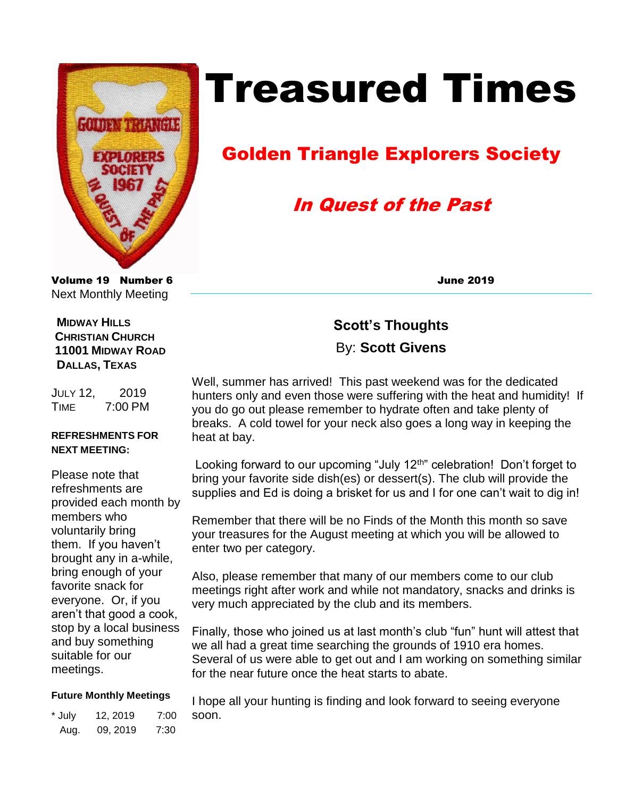

# Treasured Times

## Golden Triangle Explorers Society

## In Quest of the Past

Volume 19 Number 6 June 2019 Next Monthly Meeting

#### **MIDWAY HILLS CHRISTIAN CHURCH 11001 MIDWAY ROAD DALLAS, TEXAS**

JULY 12, 2019 TIME 7:00 PM

#### **REFRESHMENTS FOR NEXT MEETING:**

Please note that refreshments are provided each month by members who voluntarily bring them. If you haven't brought any in a-while, bring enough of your favorite snack for everyone. Or, if you aren't that good a cook, stop by a local business and buy something suitable for our meetings.

#### **Future Monthly Meetings**

\* July 12, 2019 7:00 Aug. 09, 2019 7:30

## **Scott's Thoughts**  By: **Scott Givens**

Well, summer has arrived! This past weekend was for the dedicated hunters only and even those were suffering with the heat and humidity! If you do go out please remember to hydrate often and take plenty of breaks. A cold towel for your neck also goes a long way in keeping the heat at bay.

Looking forward to our upcoming "July  $12<sup>th</sup>$ " celebration! Don't forget to bring your favorite side dish(es) or dessert(s). The club will provide the supplies and Ed is doing a brisket for us and I for one can't wait to dig in!

Remember that there will be no Finds of the Month this month so save your treasures for the August meeting at which you will be allowed to enter two per category.

Also, please remember that many of our members come to our club meetings right after work and while not mandatory, snacks and drinks is very much appreciated by the club and its members.

Finally, those who joined us at last month's club "fun" hunt will attest that we all had a great time searching the grounds of 1910 era homes. Several of us were able to get out and I am working on something similar for the near future once the heat starts to abate.

I hope all your hunting is finding and look forward to seeing everyone soon.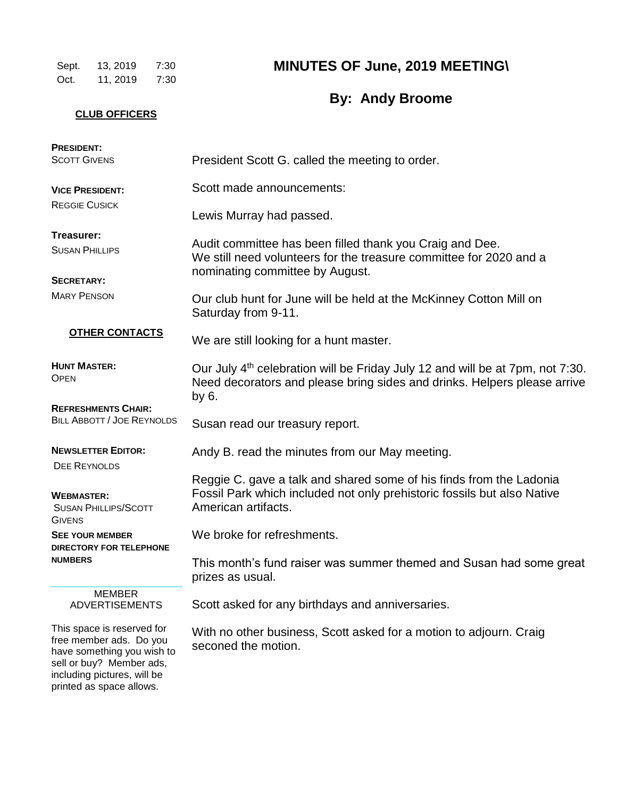Sept. 13, 2019 7:30 Oct. 11, 2019 7:30 **MINUTES OF June, 2019 MEETING\**

## **By: Andy Broome**

#### **CLUB OFFICERS**

| <b>PRESIDENT:</b><br><b>SCOTT GIVENS</b>                                                                                                                                   | President Scott G. called the meeting to order.                                                                                                                                |
|----------------------------------------------------------------------------------------------------------------------------------------------------------------------------|--------------------------------------------------------------------------------------------------------------------------------------------------------------------------------|
| <b>VICE PRESIDENT:</b>                                                                                                                                                     | Scott made announcements:                                                                                                                                                      |
| <b>REGGIE CUSICK</b>                                                                                                                                                       | Lewis Murray had passed.                                                                                                                                                       |
| Treasurer:<br><b>SUSAN PHILLIPS</b>                                                                                                                                        | Audit committee has been filled thank you Craig and Dee.<br>We still need volunteers for the treasure committee for 2020 and a                                                 |
| <b>SECRETARY:</b>                                                                                                                                                          | nominating committee by August.                                                                                                                                                |
| <b>MARY PENSON</b>                                                                                                                                                         | Our club hunt for June will be held at the McKinney Cotton Mill on<br>Saturday from 9-11.                                                                                      |
| <b>OTHER CONTACTS</b>                                                                                                                                                      | We are still looking for a hunt master.                                                                                                                                        |
| <b>HUNT MASTER:</b><br><b>OPEN</b>                                                                                                                                         | Our July 4 <sup>th</sup> celebration will be Friday July 12 and will be at 7pm, not 7:30.<br>Need decorators and please bring sides and drinks. Helpers please arrive<br>by 6. |
| <b>REFRESHMENTS CHAIR:</b><br><b>BILL ABBOTT / JOE REYNOLDS</b>                                                                                                            | Susan read our treasury report.                                                                                                                                                |
| <b>NEWSLETTER EDITOR:</b><br><b>DEE REYNOLDS</b>                                                                                                                           | Andy B. read the minutes from our May meeting.                                                                                                                                 |
| <b>WEBMASTER:</b><br><b>SUSAN PHILLIPS/SCOTT</b><br><b>GIVENS</b>                                                                                                          | Reggie C. gave a talk and shared some of his finds from the Ladonia<br>Fossil Park which included not only prehistoric fossils but also Native<br>American artifacts.          |
| <b>SEE YOUR MEMBER</b><br><b>DIRECTORY FOR TELEPHONE</b>                                                                                                                   | We broke for refreshments.                                                                                                                                                     |
| <b>NUMBERS</b>                                                                                                                                                             | This month's fund raiser was summer themed and Susan had some great<br>prizes as usual.                                                                                        |
| <b>MEMBER</b><br><b>ADVERTISEMENTS</b>                                                                                                                                     | Scott asked for any birthdays and anniversaries.                                                                                                                               |
| This space is reserved for<br>free member ads. Do you<br>have something you wish to<br>sell or buy? Member ads,<br>including pictures, will be<br>printed as space allows. | With no other business, Scott asked for a motion to adjourn. Craig<br>seconed the motion.                                                                                      |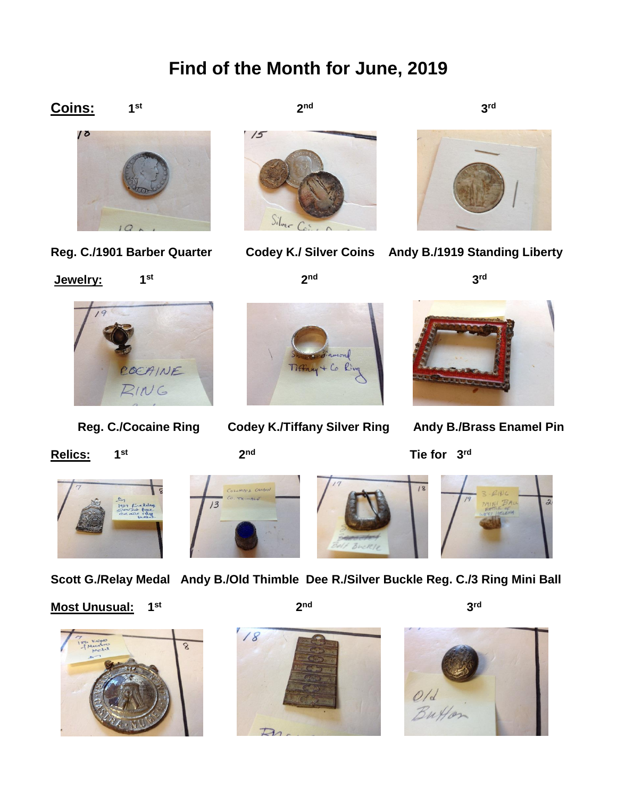## **Find of the Month for June, 2019**

2<sup>nd</sup>









2<sup>nd</sup>



3<sup>rd</sup>

**Reg. C./1901 Barber Quarter Codey K./ Silver Coins Andy B./1919 Standing Liberty**

**3 3 3 3 3 3 3 3** 

**3 3 3 3** 3<sup>rd</sup>



**st**

**Relics: 1 st**

**2** 2<sup>nd</sup>

**2 2** 

**2 2** 



 **Reg. C./Cocaine Ring Codey K./Tiffany Silver Ring Andy B./Brass Enamel Pin**

**Tie for 3<sup>rd</sup></del> The for 3<sup>rd</sup>** 



13

**2** 



**Scott G./Relay Medal Andy B./Old Thimble Dee R./Silver Buckle Reg. C./3 Ring Mini Ball** 

2<sup>nd</sup>

#### **Most Unusual: st**







3<sup>rd</sup>

**3 3 3 3** 

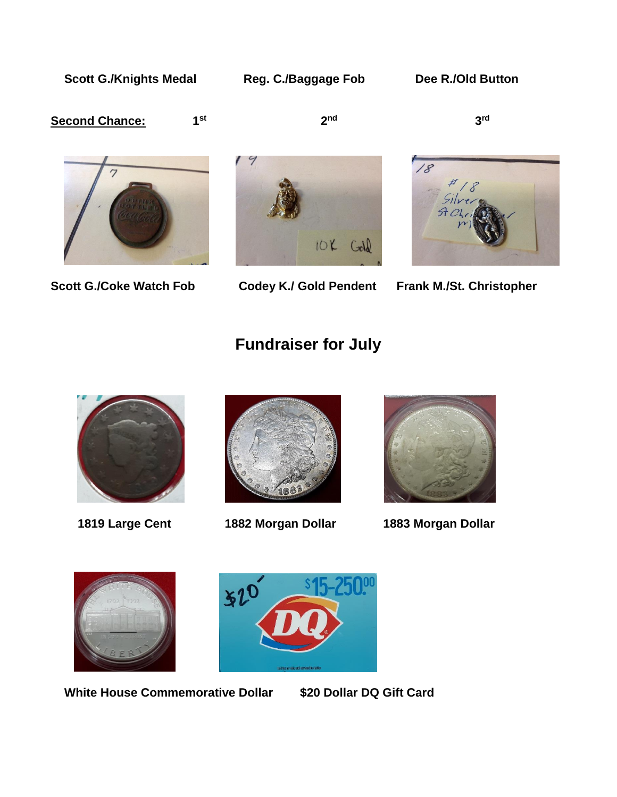Scott G./Knights Medal Reg. C./Baggage Fob Dee R./Old Button

**st**

#### **Second Chance:**

**2** 2<sup>nd</sup>

**3** 3 **rd** 



**Scott G./Coke Watch Fob Codey K./ Gold Pendent Frank M./St. Christopher** 





## **Fundraiser for July**







 **1819 Large Cent 1882 Morgan Dollar 1883 Morgan Dollar**





 **White House Commemorative Dollar \$20 Dollar DQ Gift Card**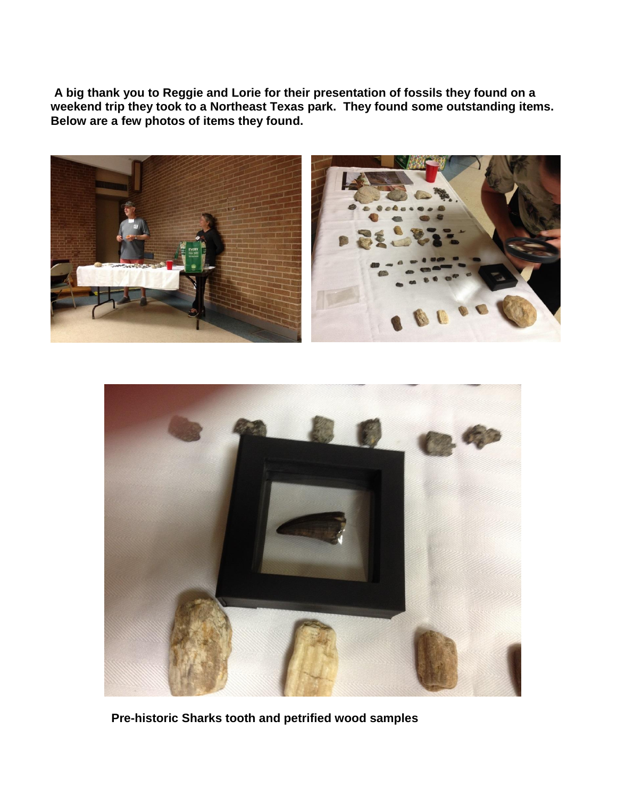**A big thank you to Reggie and Lorie for their presentation of fossils they found on a weekend trip they took to a Northeast Texas park. They found some outstanding items. Below are a few photos of items they found.**





 **Pre-historic Sharks tooth and petrified wood samples**